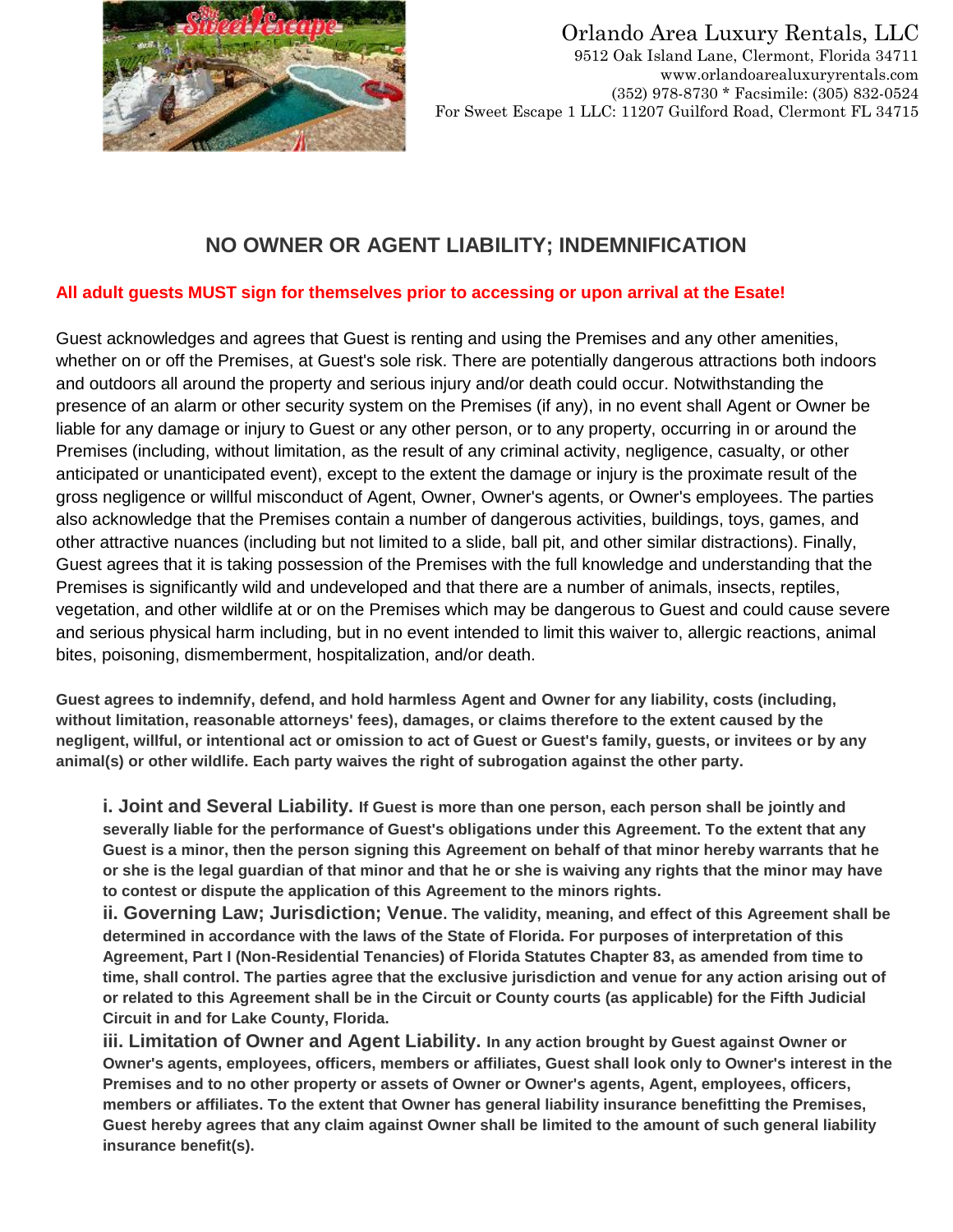

#### Orlando Area Luxury Rentals, LLC 9512 Oak Island Lane, Clermont, Florida 34711 www.orlandoarealuxuryrentals.com (352) 978-8730 \* Facsimile: (305) 832-0524

For Sweet Escape 1 LLC: 11207 Guilford Road, Clermont FL 34715

## **NO OWNER OR AGENT LIABILITY; INDEMNIFICATION**

### **All adult guests MUST sign for themselves prior to accessing or upon arrival at the Esate!**

Guest acknowledges and agrees that Guest is renting and using the Premises and any other amenities, whether on or off the Premises, at Guest's sole risk. There are potentially dangerous attractions both indoors and outdoors all around the property and serious injury and/or death could occur. Notwithstanding the presence of an alarm or other security system on the Premises (if any), in no event shall Agent or Owner be liable for any damage or injury to Guest or any other person, or to any property, occurring in or around the Premises (including, without limitation, as the result of any criminal activity, negligence, casualty, or other anticipated or unanticipated event), except to the extent the damage or injury is the proximate result of the gross negligence or willful misconduct of Agent, Owner, Owner's agents, or Owner's employees. The parties also acknowledge that the Premises contain a number of dangerous activities, buildings, toys, games, and other attractive nuances (including but not limited to a slide, ball pit, and other similar distractions). Finally, Guest agrees that it is taking possession of the Premises with the full knowledge and understanding that the Premises is significantly wild and undeveloped and that there are a number of animals, insects, reptiles, vegetation, and other wildlife at or on the Premises which may be dangerous to Guest and could cause severe and serious physical harm including, but in no event intended to limit this waiver to, allergic reactions, animal bites, poisoning, dismemberment, hospitalization, and/or death.

**Guest agrees to indemnify, defend, and hold harmless Agent and Owner for any liability, costs (including, without limitation, reasonable attorneys' fees), damages, or claims therefore to the extent caused by the negligent, willful, or intentional act or omission to act of Guest or Guest's family, guests, or invitees or by any animal(s) or other wildlife. Each party waives the right of subrogation against the other party.**

**i. Joint and Several Liability. If Guest is more than one person, each person shall be jointly and severally liable for the performance of Guest's obligations under this Agreement. To the extent that any Guest is a minor, then the person signing this Agreement on behalf of that minor hereby warrants that he or she is the legal guardian of that minor and that he or she is waiving any rights that the minor may have to contest or dispute the application of this Agreement to the minors rights.**

**ii. Governing Law; Jurisdiction; Venue. The validity, meaning, and effect of this Agreement shall be determined in accordance with the laws of the State of Florida. For purposes of interpretation of this Agreement, Part I (Non-Residential Tenancies) of Florida Statutes Chapter 83, as amended from time to time, shall control. The parties agree that the exclusive jurisdiction and venue for any action arising out of or related to this Agreement shall be in the Circuit or County courts (as applicable) for the Fifth Judicial Circuit in and for Lake County, Florida.**

**iii. Limitation of Owner and Agent Liability. In any action brought by Guest against Owner or Owner's agents, employees, officers, members or affiliates, Guest shall look only to Owner's interest in the Premises and to no other property or assets of Owner or Owner's agents, Agent, employees, officers, members or affiliates. To the extent that Owner has general liability insurance benefitting the Premises, Guest hereby agrees that any claim against Owner shall be limited to the amount of such general liability insurance benefit(s).**